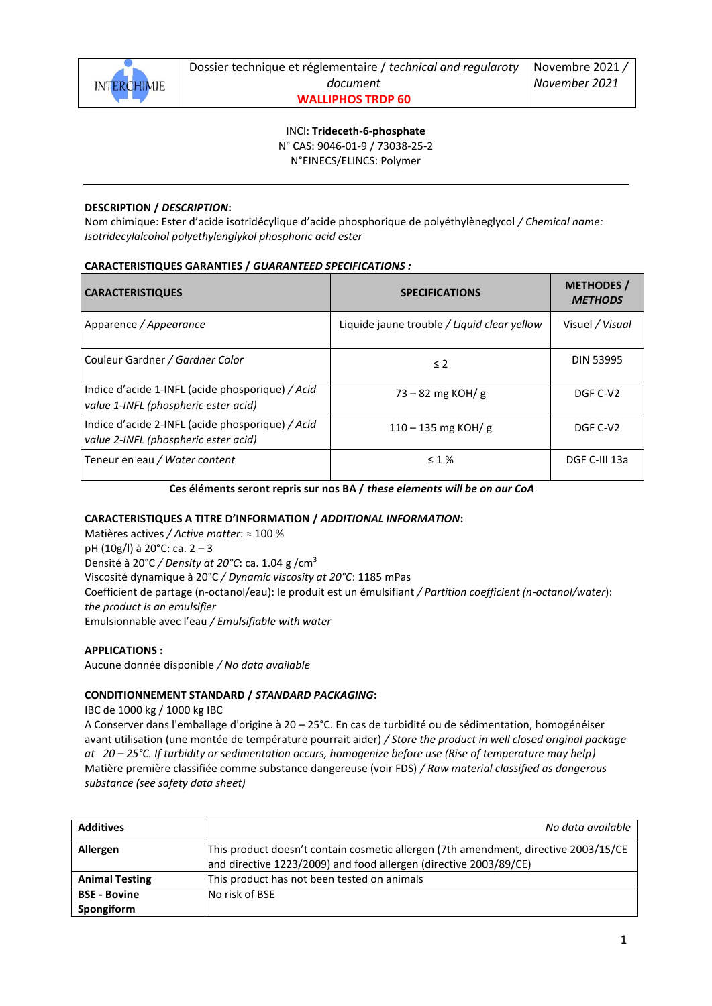

INCI: **Trideceth-6-phosphate** N° CAS: 9046-01-9 / 73038-25-2 N°EINECS/ELINCS: Polymer

# **DESCRIPTION /** *DESCRIPTION***:**

Nom chimique: Ester d'acide isotridécylique d'acide phosphorique de polyéthylèneglycol */ Chemical name: Isotridecylalcohol polyethylenglykol phosphoric acid ester*

## **CARACTERISTIQUES GARANTIES /** *GUARANTEED SPECIFICATIONS :*

| <b>CARACTERISTIQUES</b>                                                                  | <b>SPECIFICATIONS</b>                       | <b>METHODES</b> /<br><b>METHODS</b> |
|------------------------------------------------------------------------------------------|---------------------------------------------|-------------------------------------|
| Apparence / Appearance                                                                   | Liquide jaune trouble / Liquid clear yellow | Visuel / Visual                     |
| Couleur Gardner / Gardner Color                                                          | $\leq$ 2                                    | <b>DIN 53995</b>                    |
| Indice d'acide 1-INFL (acide phosporique) / Acid<br>value 1-INFL (phospheric ester acid) | $73 - 82$ mg KOH/g                          | DGF C-V2                            |
| Indice d'acide 2-INFL (acide phosporique) / Acid<br>value 2-INFL (phospheric ester acid) | $110 - 135$ mg KOH/g                        | DGF C-V2                            |
| Teneur en eau / Water content                                                            | $\leq 1\%$                                  | DGF C-III 13a                       |

### **Ces éléments seront repris sur nos BA /** *these elements will be on our CoA*

### **CARACTERISTIQUES A TITRE D'INFORMATION /** *ADDITIONAL INFORMATION***:**

Matières actives */ Active matter*: ≈ 100 % pH (10g/l) à 20°C: ca. 2 – 3 Densité à 20°C */ Density at 20°C*: ca. 1.04 g /cm<sup>3</sup> Viscosité dynamique à 20°C */ Dynamic viscosity at 20°C*: 1185 mPas Coefficient de partage (n-octanol/eau): le produit est un émulsifiant */ Partition coefficient (n-octanol/water*): *the product is an emulsifier* Emulsionnable avec l'eau */ Emulsifiable with water*

### **APPLICATIONS :**

Aucune donnée disponible */ No data available*

### **CONDITIONNEMENT STANDARD /** *STANDARD PACKAGING***:**

IBC de 1000 kg / 1000 kg IBC

A Conserver dans l'emballage d'origine à 20 – 25°C. En cas de turbidité ou de sédimentation, homogénéiser avant utilisation (une montée de température pourrait aider) */ Store the product in well closed original package at 20 – 25°C. If turbidity or sedimentation occurs, homogenize before use (Rise of temperature may help)* Matière première classifiée comme substance dangereuse (voir FDS) */ Raw material classified as dangerous substance (see safety data sheet)*

| <b>Additives</b>      | No data available                                                                   |
|-----------------------|-------------------------------------------------------------------------------------|
| Allergen              | This product doesn't contain cosmetic allergen (7th amendment, directive 2003/15/CE |
|                       | and directive 1223/2009) and food allergen (directive 2003/89/CE)                   |
| <b>Animal Testing</b> | This product has not been tested on animals                                         |
| <b>BSE - Bovine</b>   | No risk of BSE                                                                      |
| Spongiform            |                                                                                     |